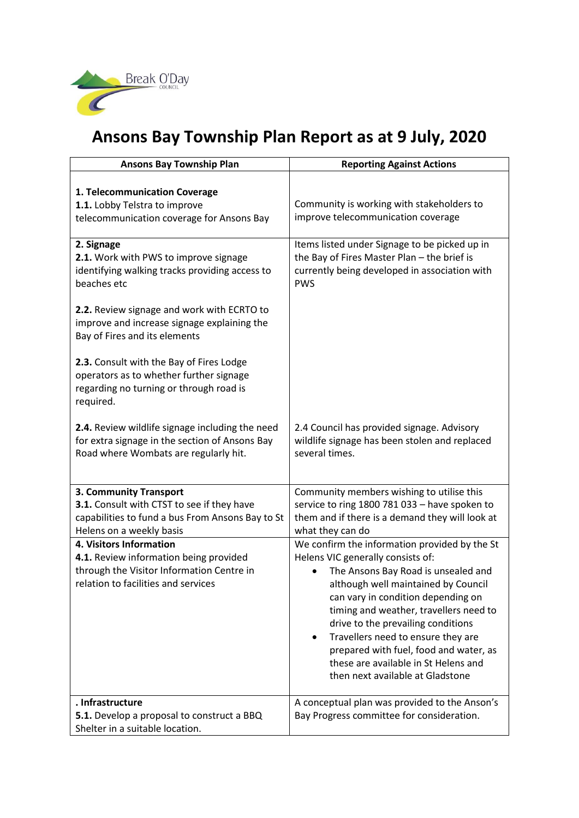

## **Ansons Bay Township Plan Report as at 9 July, 2020**

| <b>Ansons Bay Township Plan</b>                                                                                                                                                                                   | <b>Reporting Against Actions</b>                                                                                                                                                                                                                                                                                                                                                                                                                   |
|-------------------------------------------------------------------------------------------------------------------------------------------------------------------------------------------------------------------|----------------------------------------------------------------------------------------------------------------------------------------------------------------------------------------------------------------------------------------------------------------------------------------------------------------------------------------------------------------------------------------------------------------------------------------------------|
| 1. Telecommunication Coverage<br>1.1. Lobby Telstra to improve<br>telecommunication coverage for Ansons Bay                                                                                                       | Community is working with stakeholders to<br>improve telecommunication coverage                                                                                                                                                                                                                                                                                                                                                                    |
| 2. Signage<br>2.1. Work with PWS to improve signage<br>identifying walking tracks providing access to<br>beaches etc<br>2.2. Review signage and work with ECRTO to<br>improve and increase signage explaining the | Items listed under Signage to be picked up in<br>the Bay of Fires Master Plan - the brief is<br>currently being developed in association with<br><b>PWS</b>                                                                                                                                                                                                                                                                                        |
| Bay of Fires and its elements<br>2.3. Consult with the Bay of Fires Lodge<br>operators as to whether further signage<br>regarding no turning or through road is<br>required.                                      |                                                                                                                                                                                                                                                                                                                                                                                                                                                    |
| 2.4. Review wildlife signage including the need<br>for extra signage in the section of Ansons Bay<br>Road where Wombats are regularly hit.                                                                        | 2.4 Council has provided signage. Advisory<br>wildlife signage has been stolen and replaced<br>several times.                                                                                                                                                                                                                                                                                                                                      |
| 3. Community Transport<br>3.1. Consult with CTST to see if they have<br>capabilities to fund a bus From Ansons Bay to St<br>Helens on a weekly basis                                                              | Community members wishing to utilise this<br>service to ring 1800 781 033 - have spoken to<br>them and if there is a demand they will look at<br>what they can do                                                                                                                                                                                                                                                                                  |
| 4. Visitors Information<br>4.1. Review information being provided<br>through the Visitor Information Centre in<br>relation to facilities and services                                                             | We confirm the information provided by the St<br>Helens VIC generally consists of:<br>The Ansons Bay Road is unsealed and<br>although well maintained by Council<br>can vary in condition depending on<br>timing and weather, travellers need to<br>drive to the prevailing conditions<br>Travellers need to ensure they are<br>prepared with fuel, food and water, as<br>these are available in St Helens and<br>then next available at Gladstone |
| . Infrastructure<br>5.1. Develop a proposal to construct a BBQ<br>Shelter in a suitable location.                                                                                                                 | A conceptual plan was provided to the Anson's<br>Bay Progress committee for consideration.                                                                                                                                                                                                                                                                                                                                                         |